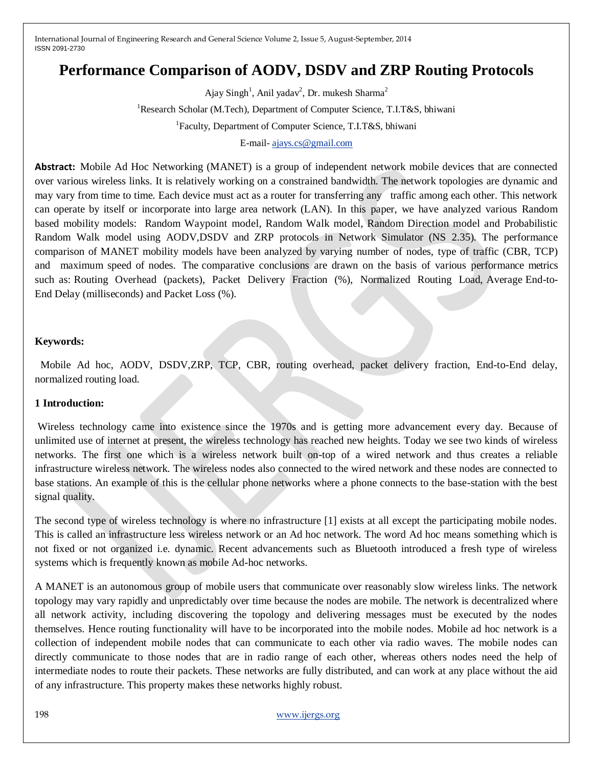# **Performance Comparison of AODV, DSDV and ZRP Routing Protocols**

Ajay Singh<sup>1</sup>, Anil yadav<sup>2</sup>, Dr. mukesh Sharma<sup>2</sup> <sup>1</sup>Research Scholar (M.Tech), Department of Computer Science, T.I.T&S, bhiwani <sup>1</sup>Faculty, Department of Computer Science, T.I.T&S, bhiwani

# E-mail- [ajays.cs@gmail.com](mailto:ajays.cs@gmail.com)

**Abstract:** Mobile Ad Hoc Networking (MANET) is a group of independent network mobile devices that are connected over various wireless links. It is relatively working on a constrained bandwidth. The network topologies are dynamic and may vary from time to time. Each device must act as a router for transferring any traffic among each other. This network can operate by itself or incorporate into large area network (LAN). In this paper, we have analyzed various Random based mobility models: Random Waypoint model, Random Walk model, Random Direction model and Probabilistic Random Walk model using AODV,DSDV and ZRP protocols in Network Simulator (NS 2.35). The performance comparison of MANET mobility models have been analyzed by varying number of nodes, type of traffic (CBR, TCP) and maximum speed of nodes. The comparative conclusions are drawn on the basis of various performance metrics such as: Routing Overhead (packets), Packet Delivery Fraction (%), Normalized Routing Load, Average End-to-End Delay (milliseconds) and Packet Loss (%).

#### **Keywords:**

 Mobile Ad hoc, AODV, DSDV,ZRP, TCP, CBR, routing overhead, packet delivery fraction, End-to-End delay, normalized routing load.

#### **1 Introduction:**

Wireless technology came into existence since the 1970s and is getting more advancement every day. Because of unlimited use of internet at present, the wireless technology has reached new heights. Today we see two kinds of wireless networks. The first one which is a wireless network built on-top of a wired network and thus creates a reliable infrastructure wireless network. The wireless nodes also connected to the wired network and these nodes are connected to base stations. An example of this is the cellular phone networks where a phone connects to the base-station with the best signal quality.

The second type of wireless technology is where no infrastructure [1] exists at all except the participating mobile nodes. This is called an infrastructure less wireless network or an Ad hoc network. The word Ad hoc means something which is not fixed or not organized i.e. dynamic. Recent advancements such as Bluetooth introduced a fresh type of wireless systems which is frequently known as mobile Ad-hoc networks.

A MANET is an autonomous group of mobile users that communicate over reasonably slow wireless links. The network topology may vary rapidly and unpredictably over time because the nodes are mobile. The network is decentralized where all network activity, including discovering the topology and delivering messages must be executed by the nodes themselves. Hence routing functionality will have to be incorporated into the mobile nodes. Mobile ad hoc network is a collection of independent mobile nodes that can communicate to each other via radio waves. The mobile nodes can directly communicate to those nodes that are in radio range of each other, whereas others nodes need the help of intermediate nodes to route their packets. These networks are fully distributed, and can work at any place without the aid of any infrastructure. This property makes these networks highly robust.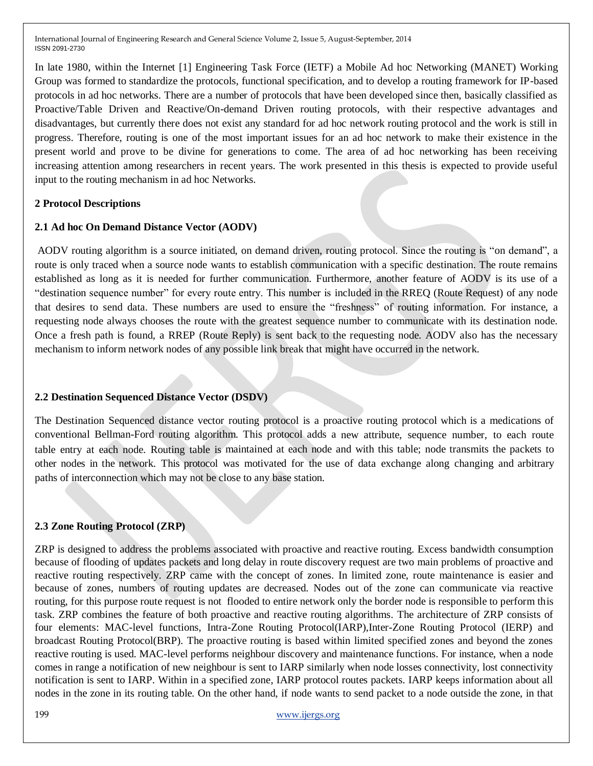In late 1980, within the Internet [1] Engineering Task Force (IETF) a Mobile Ad hoc Networking (MANET) Working Group was formed to standardize the protocols, functional specification, and to develop a routing framework for IP-based protocols in ad hoc networks. There are a number of protocols that have been developed since then, basically classified as Proactive/Table Driven and Reactive/On-demand Driven routing protocols, with their respective advantages and disadvantages, but currently there does not exist any standard for ad hoc network routing protocol and the work is still in progress. Therefore, routing is one of the most important issues for an ad hoc network to make their existence in the present world and prove to be divine for generations to come. The area of ad hoc networking has been receiving increasing attention among researchers in recent years. The work presented in this thesis is expected to provide useful input to the routing mechanism in ad hoc Networks.

### **2 Protocol Descriptions**

### **2.1 Ad hoc On Demand Distance Vector (AODV)**

AODV routing algorithm is a source initiated, on demand driven, routing protocol. Since the routing is "on demand", a route is only traced when a source node wants to establish communication with a specific destination. The route remains established as long as it is needed for further communication. Furthermore, another feature of AODV is its use of a "destination sequence number" for every route entry. This number is included in the RREQ (Route Request) of any node that desires to send data. These numbers are used to ensure the "freshness" of routing information. For instance, a requesting node always chooses the route with the greatest sequence number to communicate with its destination node. Once a fresh path is found, a RREP (Route Reply) is sent back to the requesting node. AODV also has the necessary mechanism to inform network nodes of any possible link break that might have occurred in the network.

# **2.2 Destination Sequenced Distance Vector (DSDV)**

The Destination Sequenced distance vector routing protocol is a proactive routing protocol which is a medications of conventional Bellman-Ford routing algorithm. This protocol adds a new attribute, sequence number, to each route table entry at each node. Routing table is maintained at each node and with this table; node transmits the packets to other nodes in the network. This protocol was motivated for the use of data exchange along changing and arbitrary paths of interconnection which may not be close to any base station.

# **2.3 Zone Routing Protocol (ZRP)**

ZRP is designed to address the problems associated with proactive and reactive routing. Excess bandwidth consumption because of flooding of updates packets and long delay in route discovery request are two main problems of proactive and reactive routing respectively. ZRP came with the concept of zones. In limited zone, route maintenance is easier and because of zones, numbers of routing updates are decreased. Nodes out of the zone can communicate via reactive routing, for this purpose route request is not flooded to entire network only the border node is responsible to perform this task. ZRP combines the feature of both proactive and reactive routing algorithms. The architecture of ZRP consists of four elements: MAC-level functions, Intra-Zone Routing Protocol(IARP),Inter-Zone Routing Protocol (IERP) and broadcast Routing Protocol(BRP). The proactive routing is based within limited specified zones and beyond the zones reactive routing is used. MAC-level performs neighbour discovery and maintenance functions. For instance, when a node comes in range a notification of new neighbour is sent to IARP similarly when node losses connectivity, lost connectivity notification is sent to IARP. Within in a specified zone, IARP protocol routes packets. IARP keeps information about all nodes in the zone in its routing table. On the other hand, if node wants to send packet to a node outside the zone, in that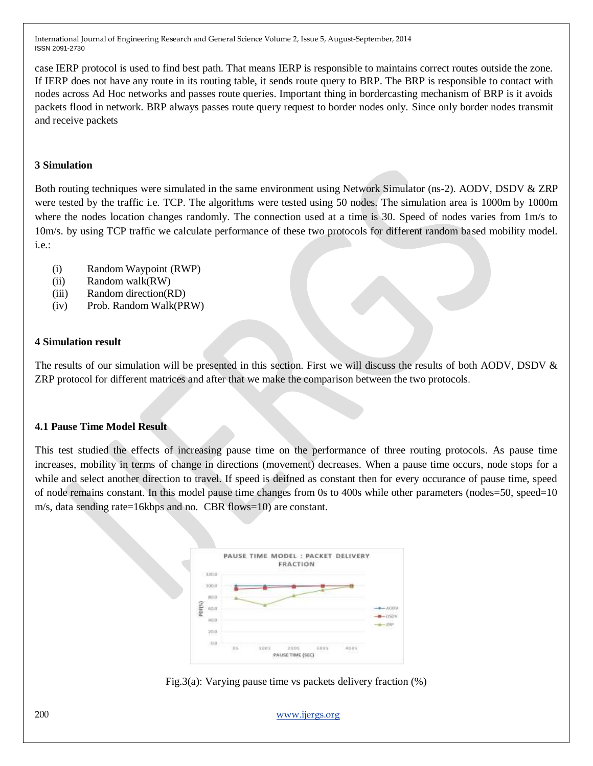case IERP protocol is used to find best path. That means IERP is responsible to maintains correct routes outside the zone. If IERP does not have any route in its routing table, it sends route query to BRP. The BRP is responsible to contact with nodes across Ad Hoc networks and passes route queries. Important thing in bordercasting mechanism of BRP is it avoids packets flood in network. BRP always passes route query request to border nodes only. Since only border nodes transmit and receive packets

## **3 Simulation**

Both routing techniques were simulated in the same environment using Network Simulator (ns-2). AODV, DSDV & ZRP were tested by the traffic i.e. TCP. The algorithms were tested using 50 nodes. The simulation area is 1000m by 1000m where the nodes location changes randomly. The connection used at a time is 30. Speed of nodes varies from  $1 \text{ m/s}$  to 10m/s. by using TCP traffic we calculate performance of these two protocols for different random based mobility model. i.e.:

- (i) Random Waypoint (RWP)
- (ii) Random walk(RW)
- (iii) Random direction(RD)
- (iv) Prob. Random Walk(PRW)

### **4 Simulation result**

The results of our simulation will be presented in this section. First we will discuss the results of both AODV, DSDV & ZRP protocol for different matrices and after that we make the comparison between the two protocols.

### **4.1 Pause Time Model Result**

This test studied the effects of increasing pause time on the performance of three routing protocols. As pause time increases, mobility in terms of change in directions (movement) decreases. When a pause time occurs, node stops for a while and select another direction to travel. If speed is deifned as constant then for every occurance of pause time, speed of node remains constant. In this model pause time changes from 0s to 400s while other parameters (nodes=50, speed=10 m/s, data sending rate=16kbps and no. CBR flows=10) are constant.



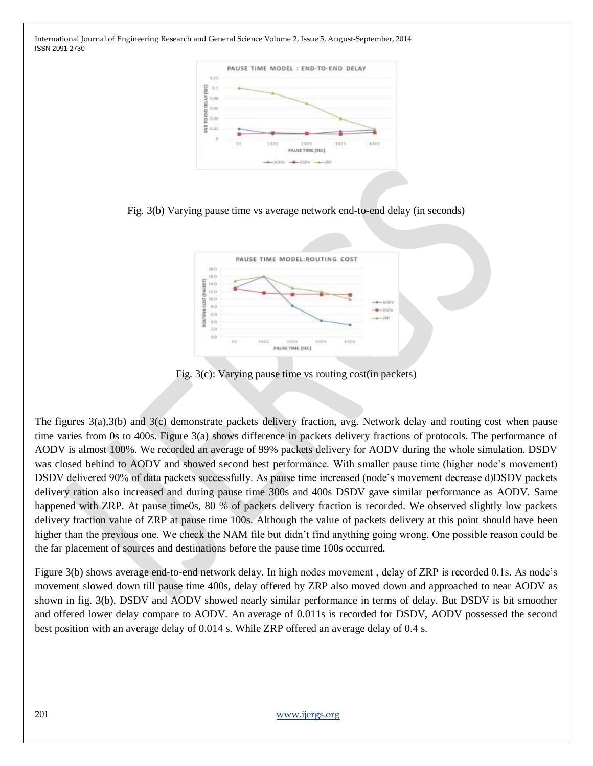

Fig. 3(b) Varying pause time vs average network end-to-end delay (in seconds)



Fig. 3(c): Varying pause time vs routing cost(in packets)

The figures 3(a),3(b) and 3(c) demonstrate packets delivery fraction, avg. Network delay and routing cost when pause time varies from 0s to 400s. Figure 3(a) shows difference in packets delivery fractions of protocols. The performance of AODV is almost 100%. We recorded an average of 99% packets delivery for AODV during the whole simulation. DSDV was closed behind to AODV and showed second best performance. With smaller pause time (higher node's movement) DSDV delivered 90% of data packets successfully. As pause time increased (node's movement decrease d)DSDV packets delivery ration also increased and during pause time 300s and 400s DSDV gave similar performance as AODV. Same happened with ZRP. At pause time0s, 80 % of packets delivery fraction is recorded. We observed slightly low packets delivery fraction value of ZRP at pause time 100s. Although the value of packets delivery at this point should have been higher than the previous one. We check the NAM file but didn't find anything going wrong. One possible reason could be the far placement of sources and destinations before the pause time 100s occurred.

Figure 3(b) shows average end-to-end network delay. In high nodes movement , delay of ZRP is recorded 0.1s. As node's movement slowed down till pause time 400s, delay offered by ZRP also moved down and approached to near AODV as shown in fig. 3(b). DSDV and AODV showed nearly similar performance in terms of delay. But DSDV is bit smoother and offered lower delay compare to AODV. An average of 0.011s is recorded for DSDV, AODV possessed the second best position with an average delay of 0.014 s. While ZRP offered an average delay of 0.4 s.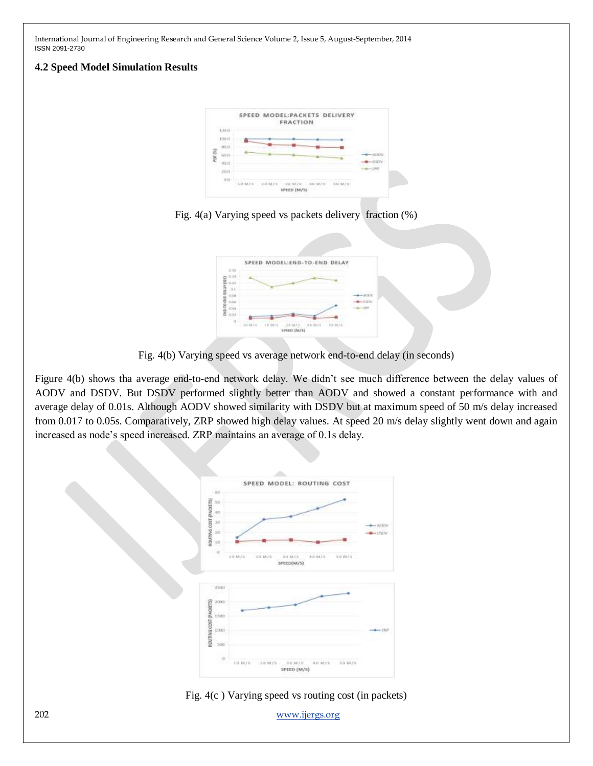## **4.2 Speed Model Simulation Results**







Fig. 4(b) Varying speed vs average network end-to-end delay (in seconds)

Figure 4(b) shows tha average end-to-end network delay. We didn't see much difference between the delay values of AODV and DSDV. But DSDV performed slightly better than AODV and showed a constant performance with and average delay of 0.01s. Although AODV showed similarity with DSDV but at maximum speed of 50 m/s delay increased from 0.017 to 0.05s. Comparatively, ZRP showed high delay values. At speed 20 m/s delay slightly went down and again increased as node's speed increased. ZRP maintains an average of 0.1s delay.



Fig. 4(c ) Varying speed vs routing cost (in packets)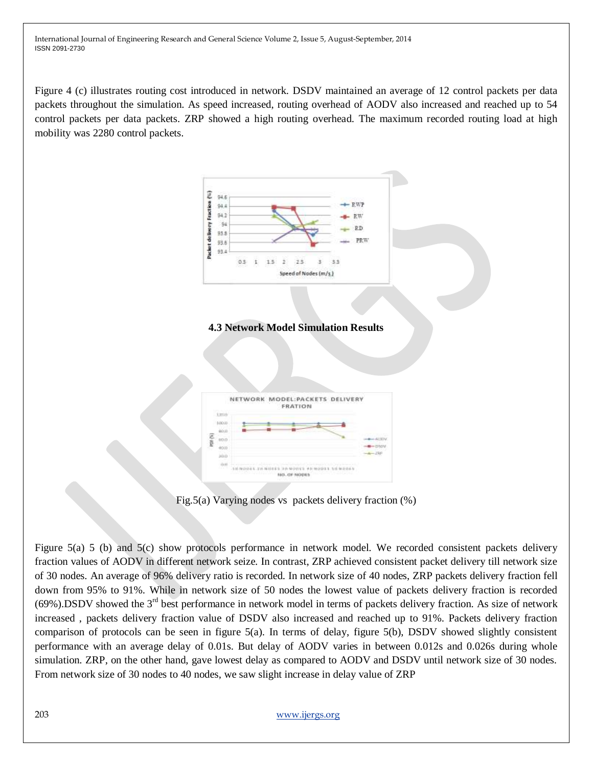Figure 4 (c) illustrates routing cost introduced in network. DSDV maintained an average of 12 control packets per data packets throughout the simulation. As speed increased, routing overhead of AODV also increased and reached up to 54 control packets per data packets. ZRP showed a high routing overhead. The maximum recorded routing load at high mobility was 2280 control packets.



Fig.5(a) Varying nodes vs packets delivery fraction (%)

Figure 5(a) 5 (b) and 5(c) show protocols performance in network model. We recorded consistent packets delivery fraction values of AODV in different network seize. In contrast, ZRP achieved consistent packet delivery till network size of 30 nodes. An average of 96% delivery ratio is recorded. In network size of 40 nodes, ZRP packets delivery fraction fell down from 95% to 91%. While in network size of 50 nodes the lowest value of packets delivery fraction is recorded  $(69\%)$ .DSDV showed the 3<sup>rd</sup> best performance in network model in terms of packets delivery fraction. As size of network increased , packets delivery fraction value of DSDV also increased and reached up to 91%. Packets delivery fraction comparison of protocols can be seen in figure 5(a). In terms of delay, figure 5(b), DSDV showed slightly consistent performance with an average delay of 0.01s. But delay of AODV varies in between 0.012s and 0.026s during whole simulation. ZRP, on the other hand, gave lowest delay as compared to AODV and DSDV until network size of 30 nodes. From network size of 30 nodes to 40 nodes, we saw slight increase in delay value of ZRP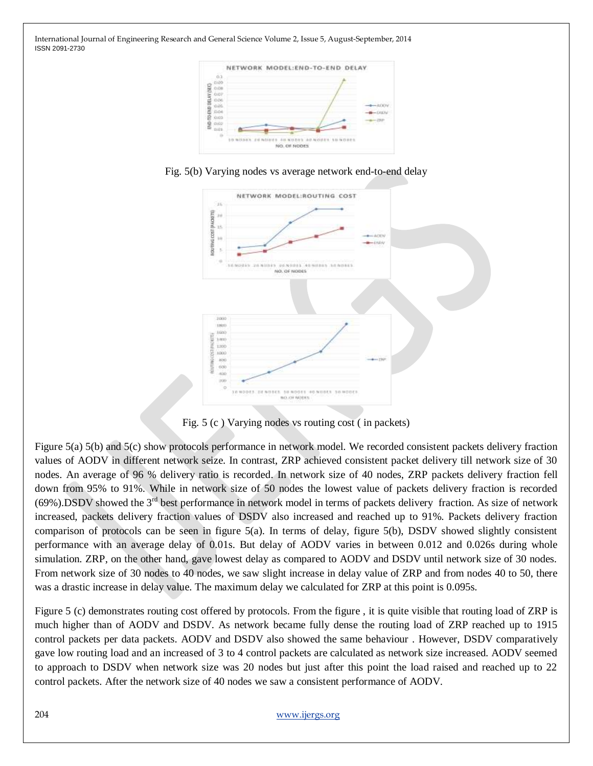





Fig. 5 (c ) Varying nodes vs routing cost ( in packets)

Figure 5(a) 5(b) and 5(c) show protocols performance in network model. We recorded consistent packets delivery fraction values of AODV in different network seize. In contrast, ZRP achieved consistent packet delivery till network size of 30 nodes. An average of 96 % delivery ratio is recorded. In network size of 40 nodes, ZRP packets delivery fraction fell down from 95% to 91%. While in network size of 50 nodes the lowest value of packets delivery fraction is recorded (69%).DSDV showed the 3rd best performance in network model in terms of packets delivery fraction. As size of network increased, packets delivery fraction values of DSDV also increased and reached up to 91%. Packets delivery fraction comparison of protocols can be seen in figure 5(a). In terms of delay, figure 5(b), DSDV showed slightly consistent performance with an average delay of 0.01s. But delay of AODV varies in between 0.012 and 0.026s during whole simulation. ZRP, on the other hand, gave lowest delay as compared to AODV and DSDV until network size of 30 nodes. From network size of 30 nodes to 40 nodes, we saw slight increase in delay value of ZRP and from nodes 40 to 50, there was a drastic increase in delay value. The maximum delay we calculated for ZRP at this point is 0.095s.

Figure 5 (c) demonstrates routing cost offered by protocols. From the figure , it is quite visible that routing load of ZRP is much higher than of AODV and DSDV. As network became fully dense the routing load of ZRP reached up to 1915 control packets per data packets. AODV and DSDV also showed the same behaviour . However, DSDV comparatively gave low routing load and an increased of 3 to 4 control packets are calculated as network size increased. AODV seemed to approach to DSDV when network size was 20 nodes but just after this point the load raised and reached up to 22 control packets. After the network size of 40 nodes we saw a consistent performance of AODV.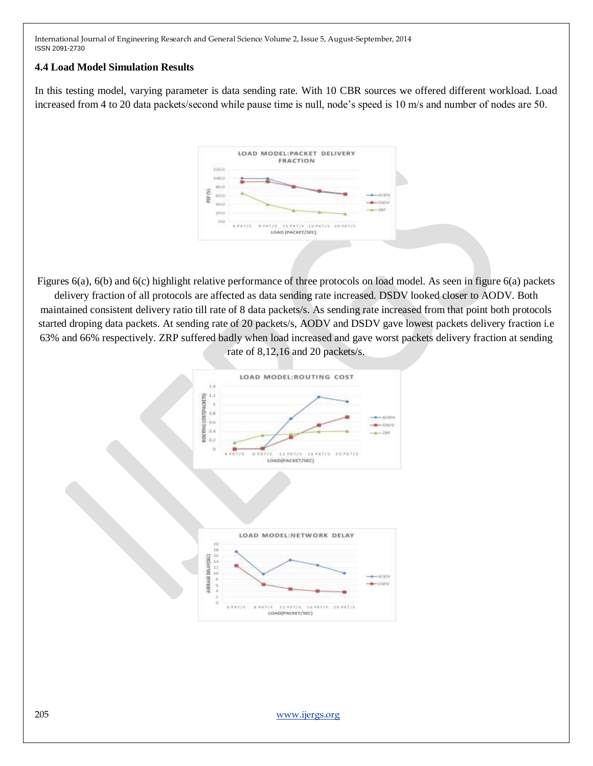## **4.4 Load Model Simulation Results**

In this testing model, varying parameter is data sending rate. With 10 CBR sources we offered different workload. Load increased from 4 to 20 data packets/second while pause time is null, node's speed is 10 m/s and number of nodes are 50.



Figures 6(a), 6(b) and 6(c) highlight relative performance of three protocols on load model. As seen in figure 6(a) packets delivery fraction of all protocols are affected as data sending rate increased. DSDV looked closer to AODV. Both maintained consistent delivery ratio till rate of 8 data packets/s. As sending rate increased from that point both protocols started droping data packets. At sending rate of 20 packets/s, AODV and DSDV gave lowest packets delivery fraction i.e 63% and 66% respectively. ZRP suffered badly when load increased and gave worst packets delivery fraction at sending rate of 8,12,16 and 20 packets/s.

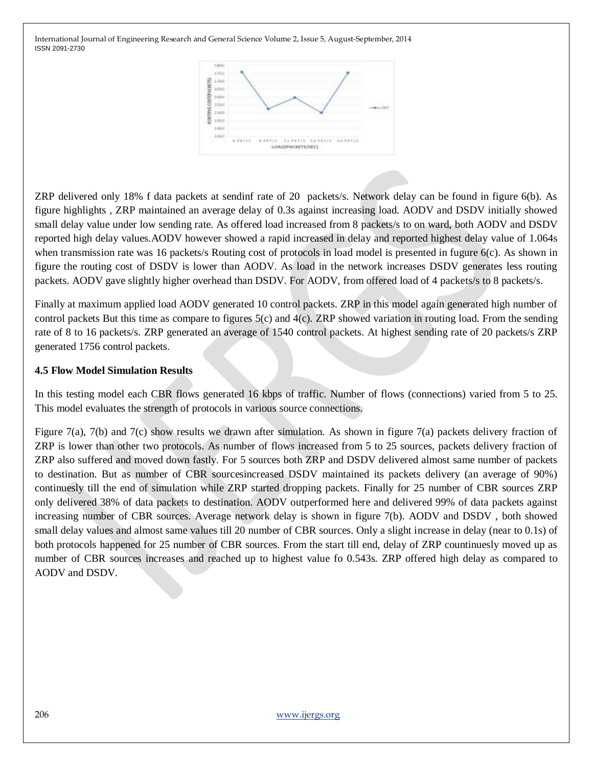

ZRP delivered only 18% f data packets at sendinf rate of 20 packets/s. Network delay can be found in figure 6(b). As figure highlights , ZRP maintained an average delay of 0.3s against increasing load. AODV and DSDV initially showed small delay value under low sending rate. As offered load increased from 8 packets/s to on ward, both AODV and DSDV reported high delay values.AODV however showed a rapid increased in delay and reported highest delay value of 1.064s when transmission rate was 16 packets/s Routing cost of protocols in load model is presented in fugure 6(c). As shown in figure the routing cost of DSDV is lower than AODV. As load in the network increases DSDV generates less routing packets. AODV gave slightly higher overhead than DSDV. For AODV, from offered load of 4 packets/s to 8 packets/s.

Finally at maximum applied load AODV generated 10 control packets. ZRP in this model again generated high number of control packets But this time as compare to figures  $5(c)$  and  $4(c)$ . ZRP showed variation in routing load. From the sending rate of 8 to 16 packets/s. ZRP generated an average of 1540 control packets. At highest sending rate of 20 packets/s ZRP generated 1756 control packets.

# **4.5 Flow Model Simulation Results**

In this testing model each CBR flows generated 16 kbps of traffic. Number of flows (connections) varied from 5 to 25. This model evaluates the strength of protocols in various source connections.

Figure 7(a), 7(b) and 7(c) show results we drawn after simulation. As shown in figure 7(a) packets delivery fraction of ZRP is lower than other two protocols. As number of flows increased from 5 to 25 sources, packets delivery fraction of ZRP also suffered and moved down fastly. For 5 sources both ZRP and DSDV delivered almost same number of packets to destination. But as number of CBR sourcesincreased DSDV maintained its packets delivery (an average of 90%) continuesly till the end of simulation while ZRP started dropping packets. Finally for 25 number of CBR sources ZRP only delivered 38% of data packets to destination. AODV outperformed here and delivered 99% of data packets against increasing number of CBR sources. Average network delay is shown in figure 7(b). AODV and DSDV , both showed small delay values and almost same values till 20 number of CBR sources. Only a slight increase in delay (near to 0.1s) of both protocols happened for 25 number of CBR sources. From the start till end, delay of ZRP countinuesly moved up as number of CBR sources increases and reached up to highest value fo 0.543s. ZRP offered high delay as compared to AODV and DSDV.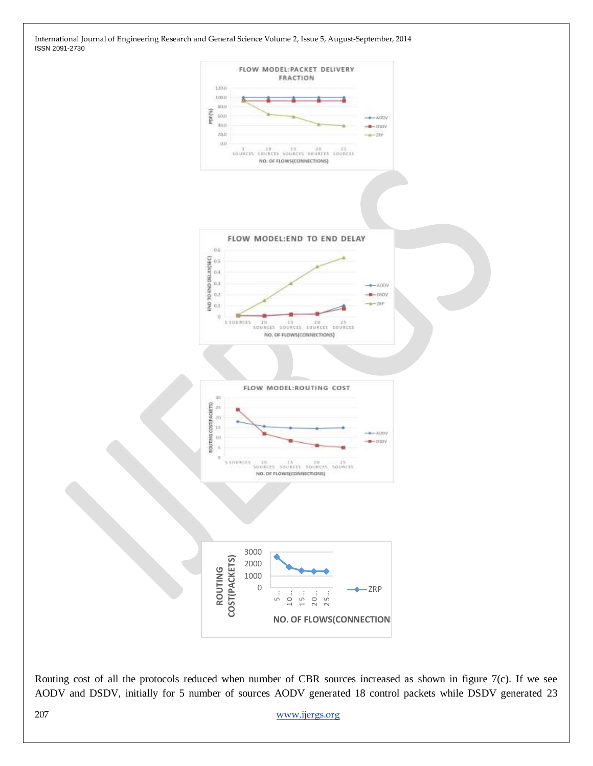



Routing cost of all the protocols reduced when number of CBR sources increased as shown in figure 7(c). If we see AODV and DSDV, initially for 5 number of sources AODV generated 18 control packets while DSDV generated 23